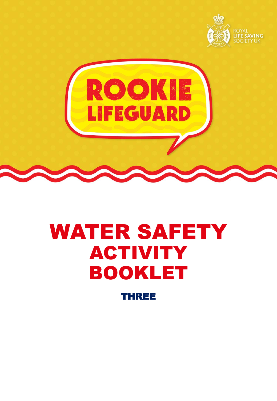





# WATER SAFETY ACTIVITY BOOKLET

THREE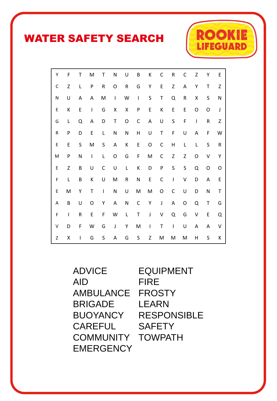## WATER SAFETY SEARCH



ADVICE AID AMBULANCE BRIGADE BUOYANCY **CAREFUL COMMUNITY EMERGENCY** 

EQUIPMENT FIRE FROSTY LEARN RESPONSIBLE **SAFETY** TOWPATH

**RO** 

**EGUARD**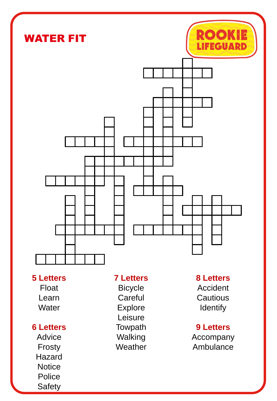

#### **5 Letters**

Float Learn **Water** 

#### **6 Letters**

Advice Frosty Hazard **Notice** Police Safety

#### **7 Letters**

Bicycle **Careful** Explore Leisure **Towpath** Walking **Weather** 

### **8 Letters** Accident **Cautious**

**Identify** 

#### **9 Letters**

Accompany Ambulance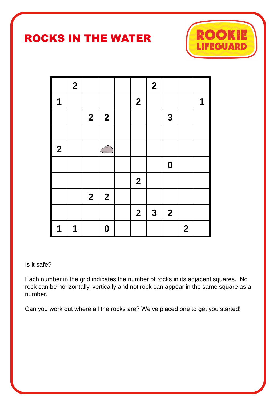## ROCKS IN THE WATER



|                  | $\overline{\mathbf{2}}$ |                  |                  |                  | $\overline{\mathbf{2}}$ |                         |                  |   |
|------------------|-------------------------|------------------|------------------|------------------|-------------------------|-------------------------|------------------|---|
| $\mathbf 1$      |                         |                  |                  | $\boldsymbol{2}$ |                         |                         |                  | 1 |
|                  |                         | $\boldsymbol{2}$ | $\boldsymbol{2}$ |                  |                         | $\mathbf{3}$            |                  |   |
|                  |                         |                  |                  |                  |                         |                         |                  |   |
| $\boldsymbol{2}$ |                         |                  |                  |                  |                         |                         |                  |   |
|                  |                         |                  |                  |                  |                         | $\boldsymbol{0}$        |                  |   |
|                  |                         |                  |                  | $\mathbf{2}$     |                         |                         |                  |   |
|                  |                         | $\mathbf{2}$     | $\boldsymbol{2}$ |                  |                         |                         |                  |   |
|                  |                         |                  |                  | $\mathbf{2}$     | $\mathbf{3}$            | $\overline{\mathbf{2}}$ |                  |   |
| 1                | 1                       |                  | $\boldsymbol{0}$ |                  |                         |                         | $\boldsymbol{2}$ |   |

#### Is it safe?

Each number in the grid indicates the number of rocks in its adjacent squares. No rock can be horizontally, vertically and not rock can appear in the same square as a number.

Can you work out where all the rocks are? We've placed one to get you started!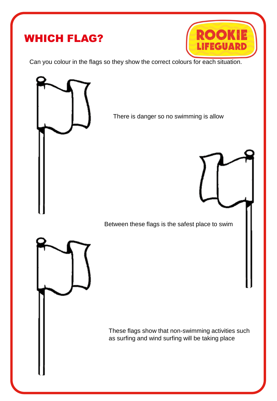## WHICH FLAG?



Can you colour in the flags so they show the correct colours for each situation.